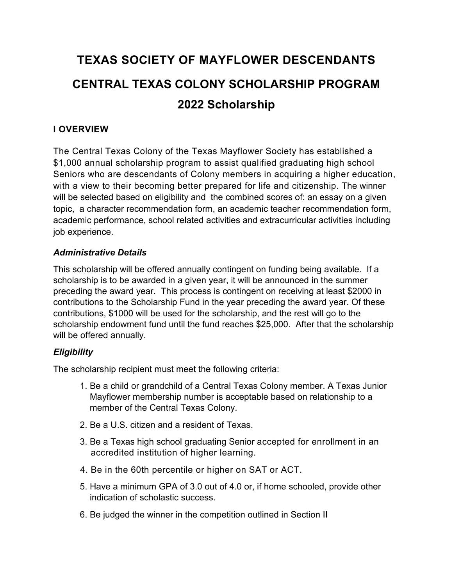# **TEXAS SOCIETY OF MAYFLOWER DESCENDANTS CENTRAL TEXAS COLONY SCHOLARSHIP PROGRAM 2022 Scholarship**

## **I OVERVIEW**

The Central Texas Colony of the Texas Mayflower Society has established a \$1,000 annual scholarship program to assist qualified graduating high school Seniors who are descendants of Colony members in acquiring a higher education, with a view to their becoming better prepared for life and citizenship. The winner will be selected based on eligibility and the combined scores of: an essay on a given topic, a character recommendation form, an academic teacher recommendation form, academic performance, school related activities and extracurricular activities including job experience.

## *Administrative Details*

This scholarship will be offered annually contingent on funding being available. If a scholarship is to be awarded in a given year, it will be announced in the summer preceding the award year. This process is contingent on receiving at least \$2000 in contributions to the Scholarship Fund in the year preceding the award year. Of these contributions, \$1000 will be used for the scholarship, and the rest will go to the scholarship endowment fund until the fund reaches \$25,000. After that the scholarship will be offered annually.

## *Eligibility*

The scholarship recipient must meet the following criteria:

- 1. Be a child or grandchild of a Central Texas Colony member. A Texas Junior Mayflower membership number is acceptable based on relationship to a member of the Central Texas Colony.
- 2. Be a U.S. citizen and a resident of Texas.
- 3. Be a Texas high school graduating Senior accepted for enrollment in an accredited institution of higher learning.
- 4. Be in the 60th percentile or higher on SAT or ACT.
- 5. Have a minimum GPA of 3.0 out of 4.0 or, if home schooled, provide other indication of scholastic success.
- 6. Be judged the winner in the competition outlined in Section II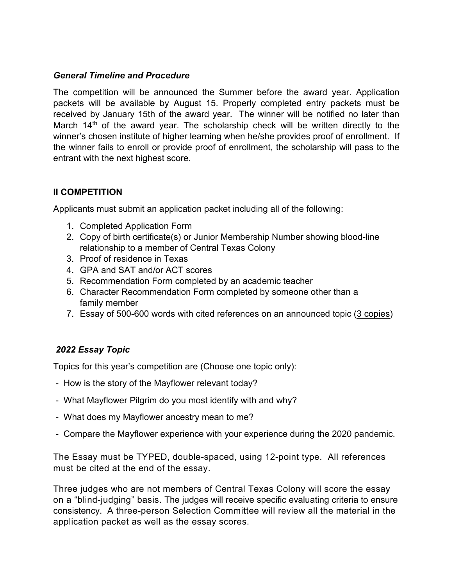#### *General Timeline and Procedure*

The competition will be announced the Summer before the award year. Application packets will be available by August 15. Properly completed entry packets must be received by January 15th of the award year. The winner will be notified no later than March  $14<sup>th</sup>$  of the award year. The scholarship check will be written directly to the winner's chosen institute of higher learning when he/she provides proof of enrollment. If the winner fails to enroll or provide proof of enrollment, the scholarship will pass to the entrant with the next highest score.

## **II COMPETITION**

Applicants must submit an application packet including all of the following:

- 1. Completed Application Form
- 2. Copy of birth certificate(s) or Junior Membership Number showing blood-line relationship to a member of Central Texas Colony
- 3. Proof of residence in Texas
- 4. GPA and SAT and/or ACT scores
- 5. Recommendation Form completed by an academic teacher
- 6. Character Recommendation Form completed by someone other than a family member
- 7. Essay of 500-600 words with cited references on an announced topic (3 copies)

## *2022 Essay Topic*

Topics for this year's competition are (Choose one topic only):

- How is the story of the Mayflower relevant today?
- What Mayflower Pilgrim do you most identify with and why?
- What does my Mayflower ancestry mean to me?
- Compare the Mayflower experience with your experience during the 2020 pandemic.

The Essay must be TYPED, double-spaced, using 12-point type. All references must be cited at the end of the essay.

Three judges who are not members of Central Texas Colony will score the essay on a "blind-judging" basis. The judges will receive specific evaluating criteria to ensure consistency. A three-person Selection Committee will review all the material in the application packet as well as the essay scores.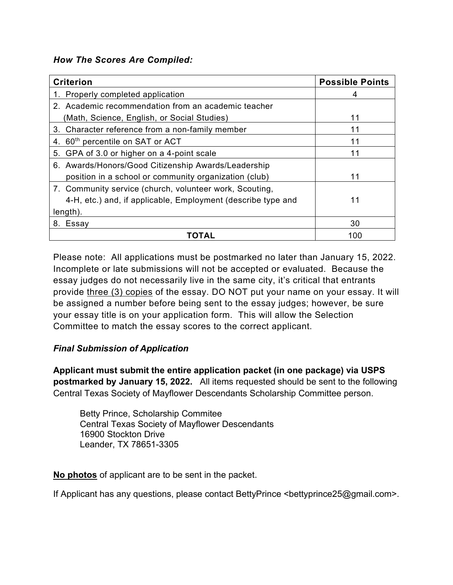#### *How The Scores Are Compiled:*

| <b>Criterion</b>                                             | <b>Possible Points</b> |
|--------------------------------------------------------------|------------------------|
| 1. Properly completed application                            | 4                      |
| 2. Academic recommendation from an academic teacher          |                        |
| (Math, Science, English, or Social Studies)                  | 11                     |
| 3. Character reference from a non-family member              | 11                     |
| 4. 60 <sup>th</sup> percentile on SAT or ACT                 | 11                     |
| 5. GPA of 3.0 or higher on a 4-point scale                   |                        |
| 6. Awards/Honors/Good Citizenship Awards/Leadership          |                        |
| position in a school or community organization (club)        | 11                     |
| 7. Community service (church, volunteer work, Scouting,      |                        |
| 4-H, etc.) and, if applicable, Employment (describe type and | 11                     |
| $length)$ .                                                  |                        |
| 8. Essay                                                     | 30                     |
| <b>TOTAL</b>                                                 | 100                    |

Please note: All applications must be postmarked no later than January 15, 2022. Incomplete or late submissions will not be accepted or evaluated. Because the essay judges do not necessarily live in the same city, it's critical that entrants provide three (3) copies of the essay. DO NOT put your name on your essay. It will be assigned a number before being sent to the essay judges; however, be sure your essay title is on your application form. This will allow the Selection Committee to match the essay scores to the correct applicant.

## *Final Submission of Application*

**Applicant must submit the entire application packet (in one package) via USPS postmarked by January 15, 2022.** All items requested should be sent to the following Central Texas Society of Mayflower Descendants Scholarship Committee person.

Betty Prince, Scholarship Commitee Central Texas Society of Mayflower Descendants 16900 Stockton Drive Leander, TX 78651-3305

**No photos** of applicant are to be sent in the packet.

If Applicant has any questions, please contact BettyPrince <bettyprince25@gmail.com>.